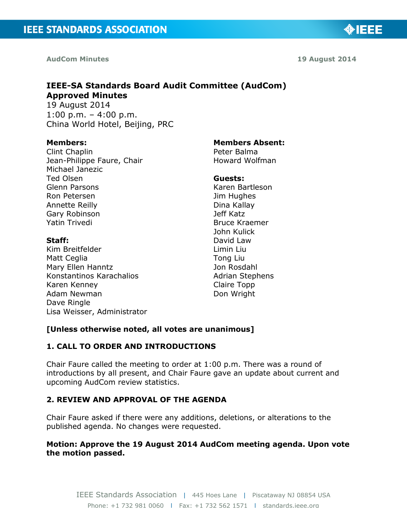**AudCom Minutes 19 August 2014**

◈IEEE

# **IEEE-SA Standards Board Audit Committee (AudCom) Approved Minutes**

19 August 2014  $1:00 \text{ p.m.} - 4:00 \text{ p.m.}$ China World Hotel, Beijing, PRC

#### **Members:**

Clint Chaplin Jean-Philippe Faure, Chair Michael Janezic Ted Olsen Glenn Parsons Ron Petersen Annette Reilly Gary Robinson Yatin Trivedi

## **Staff:**

Kim Breitfelder Matt Ceglia Mary Ellen Hanntz Konstantinos Karachalios Karen Kenney Adam Newman Dave Ringle Lisa Weisser, Administrator

#### **Members Absent:**

Peter Balma Howard Wolfman

#### **Guests:**

Karen Bartleson Jim Hughes Dina Kallay Jeff Katz Bruce Kraemer John Kulick David Law Limin Liu Tong Liu Jon Rosdahl Adrian Stephens Claire Topp Don Wright

## **[Unless otherwise noted, all votes are unanimous]**

## **1. CALL TO ORDER AND INTRODUCTIONS**

Chair Faure called the meeting to order at 1:00 p.m. There was a round of introductions by all present, and Chair Faure gave an update about current and upcoming AudCom review statistics.

## **2. REVIEW AND APPROVAL OF THE AGENDA**

Chair Faure asked if there were any additions, deletions, or alterations to the published agenda. No changes were requested.

## **Motion: Approve the 19 August 2014 AudCom meeting agenda. Upon vote the motion passed.**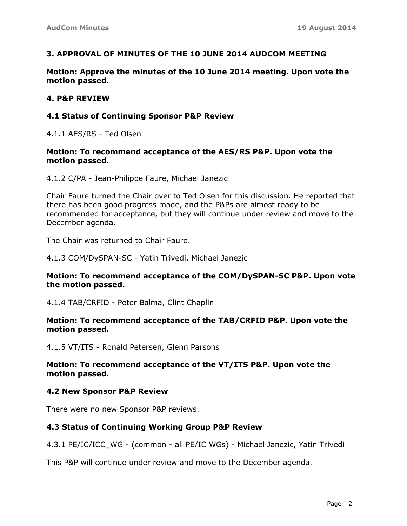## **3. APPROVAL OF MINUTES OF THE 10 JUNE 2014 AUDCOM MEETING**

**Motion: Approve the minutes of the 10 June 2014 meeting. Upon vote the motion passed.**

#### **4. P&P REVIEW**

#### **4.1 Status of Continuing Sponsor P&P Review**

4.1.1 AES/RS - Ted Olsen

## **Motion: To recommend acceptance of the AES/RS P&P. Upon vote the motion passed.**

4.1.2 C/PA - Jean-Philippe Faure, Michael Janezic

Chair Faure turned the Chair over to Ted Olsen for this discussion. He reported that there has been good progress made, and the P&Ps are almost ready to be recommended for acceptance, but they will continue under review and move to the December agenda.

The Chair was returned to Chair Faure.

4.1.3 COM/DySPAN-SC - Yatin Trivedi, Michael Janezic

## **Motion: To recommend acceptance of the COM/DySPAN-SC P&P. Upon vote the motion passed.**

4.1.4 TAB/CRFID - Peter Balma, Clint Chaplin

#### **Motion: To recommend acceptance of the TAB/CRFID P&P. Upon vote the motion passed.**

4.1.5 VT/ITS - Ronald Petersen, Glenn Parsons

## **Motion: To recommend acceptance of the VT/ITS P&P. Upon vote the motion passed.**

## **4.2 New Sponsor P&P Review**

There were no new Sponsor P&P reviews.

## **4.3 Status of Continuing Working Group P&P Review**

4.3.1 PE/IC/ICC\_WG - (common - all PE/IC WGs) - Michael Janezic, Yatin Trivedi

This P&P will continue under review and move to the December agenda.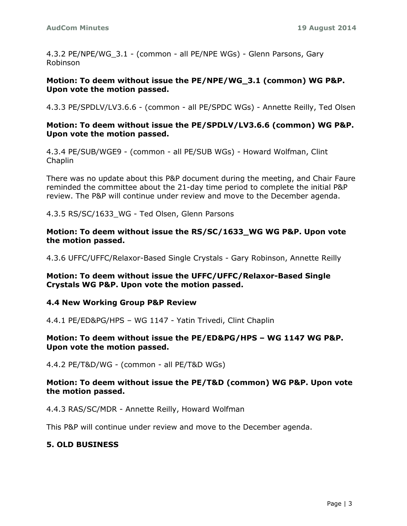4.3.2 PE/NPE/WG 3.1 - (common - all PE/NPE WGs) - Glenn Parsons, Gary Robinson

## **Motion: To deem without issue the PE/NPE/WG\_3.1 (common) WG P&P. Upon vote the motion passed.**

4.3.3 PE/SPDLV/LV3.6.6 - (common - all PE/SPDC WGs) - Annette Reilly, Ted Olsen

## **Motion: To deem without issue the PE/SPDLV/LV3.6.6 (common) WG P&P. Upon vote the motion passed.**

4.3.4 PE/SUB/WGE9 - (common - all PE/SUB WGs) - Howard Wolfman, Clint Chaplin

There was no update about this P&P document during the meeting, and Chair Faure reminded the committee about the 21-day time period to complete the initial P&P review. The P&P will continue under review and move to the December agenda.

4.3.5 RS/SC/1633\_WG - Ted Olsen, Glenn Parsons

**Motion: To deem without issue the RS/SC/1633\_WG WG P&P. Upon vote the motion passed.**

4.3.6 UFFC/UFFC/Relaxor-Based Single Crystals - Gary Robinson, Annette Reilly

**Motion: To deem without issue the UFFC/UFFC/Relaxor-Based Single Crystals WG P&P. Upon vote the motion passed.**

## **4.4 New Working Group P&P Review**

4.4.1 PE/ED&PG/HPS – WG 1147 - Yatin Trivedi, Clint Chaplin

## **Motion: To deem without issue the PE/ED&PG/HPS – WG 1147 WG P&P. Upon vote the motion passed.**

4.4.2 PE/T&D/WG - (common - all PE/T&D WGs)

## **Motion: To deem without issue the PE/T&D (common) WG P&P. Upon vote the motion passed.**

4.4.3 RAS/SC/MDR - Annette Reilly, Howard Wolfman

This P&P will continue under review and move to the December agenda.

## **5. OLD BUSINESS**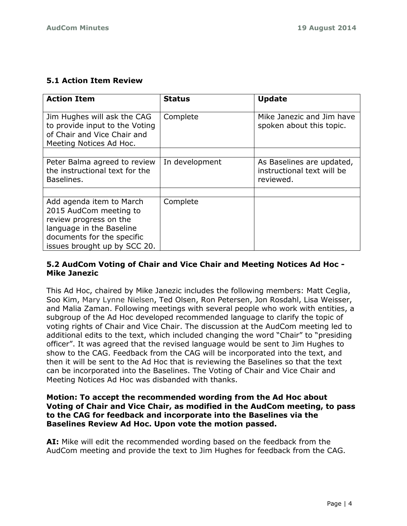## **5.1 Action Item Review**

| <b>Action Item</b>                                                                                                                                                     | <b>Status</b>  | <b>Update</b>                                                        |
|------------------------------------------------------------------------------------------------------------------------------------------------------------------------|----------------|----------------------------------------------------------------------|
| Jim Hughes will ask the CAG<br>to provide input to the Voting<br>of Chair and Vice Chair and<br>Meeting Notices Ad Hoc.                                                | Complete       | Mike Janezic and Jim have<br>spoken about this topic.                |
|                                                                                                                                                                        |                |                                                                      |
| Peter Balma agreed to review<br>the instructional text for the<br>Baselines.                                                                                           | In development | As Baselines are updated,<br>instructional text will be<br>reviewed. |
|                                                                                                                                                                        |                |                                                                      |
| Add agenda item to March<br>2015 AudCom meeting to<br>review progress on the<br>language in the Baseline<br>documents for the specific<br>issues brought up by SCC 20. | Complete       |                                                                      |

## **5.2 AudCom Voting of Chair and Vice Chair and Meeting Notices Ad Hoc - Mike Janezic**

This Ad Hoc, chaired by Mike Janezic includes the following members: Matt Ceglia, Soo Kim, Mary Lynne Nielsen, Ted Olsen, Ron Petersen, Jon Rosdahl, Lisa Weisser, and Malia Zaman. Following meetings with several people who work with entities, a subgroup of the Ad Hoc developed recommended language to clarify the topic of voting rights of Chair and Vice Chair. The discussion at the AudCom meeting led to additional edits to the text, which included changing the word "Chair" to "presiding officer". It was agreed that the revised language would be sent to Jim Hughes to show to the CAG. Feedback from the CAG will be incorporated into the text, and then it will be sent to the Ad Hoc that is reviewing the Baselines so that the text can be incorporated into the Baselines. The Voting of Chair and Vice Chair and Meeting Notices Ad Hoc was disbanded with thanks.

## **Motion: To accept the recommended wording from the Ad Hoc about Voting of Chair and Vice Chair, as modified in the AudCom meeting, to pass to the CAG for feedback and incorporate into the Baselines via the Baselines Review Ad Hoc. Upon vote the motion passed.**

**AI:** Mike will edit the recommended wording based on the feedback from the AudCom meeting and provide the text to Jim Hughes for feedback from the CAG.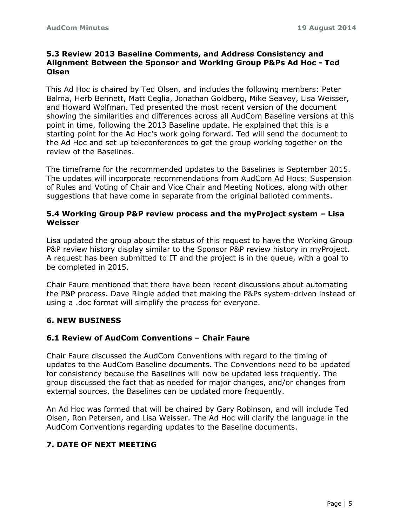## **5.3 Review 2013 Baseline Comments, and Address Consistency and Alignment Between the Sponsor and Working Group P&Ps Ad Hoc - Ted Olsen**

This Ad Hoc is chaired by Ted Olsen, and includes the following members: Peter Balma, Herb Bennett, Matt Ceglia, Jonathan Goldberg, Mike Seavey, Lisa Weisser, and Howard Wolfman. Ted presented the most recent version of the document showing the similarities and differences across all AudCom Baseline versions at this point in time, following the 2013 Baseline update. He explained that this is a starting point for the Ad Hoc's work going forward. Ted will send the document to the Ad Hoc and set up teleconferences to get the group working together on the review of the Baselines.

The timeframe for the recommended updates to the Baselines is September 2015. The updates will incorporate recommendations from AudCom Ad Hocs: Suspension of Rules and Voting of Chair and Vice Chair and Meeting Notices, along with other suggestions that have come in separate from the original balloted comments.

## **5.4 Working Group P&P review process and the myProject system – Lisa Weisser**

Lisa updated the group about the status of this request to have the Working Group P&P review history display similar to the Sponsor P&P review history in myProject. A request has been submitted to IT and the project is in the queue, with a goal to be completed in 2015.

Chair Faure mentioned that there have been recent discussions about automating the P&P process. Dave Ringle added that making the P&Ps system-driven instead of using a .doc format will simplify the process for everyone.

## **6. NEW BUSINESS**

## **6.1 Review of AudCom Conventions – Chair Faure**

Chair Faure discussed the AudCom Conventions with regard to the timing of updates to the AudCom Baseline documents. The Conventions need to be updated for consistency because the Baselines will now be updated less frequently. The group discussed the fact that as needed for major changes, and/or changes from external sources, the Baselines can be updated more frequently.

An Ad Hoc was formed that will be chaired by Gary Robinson, and will include Ted Olsen, Ron Petersen, and Lisa Weisser. The Ad Hoc will clarify the language in the AudCom Conventions regarding updates to the Baseline documents.

## **7. DATE OF NEXT MEETING**